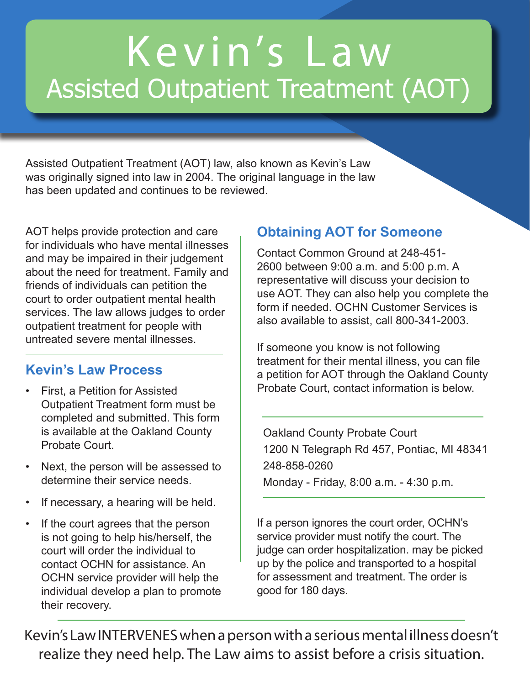# K e v i n's L a w Assisted Outpatient Treatment (AOT)

Assisted Outpatient Treatment (AOT) law, also known as Kevin's Law was originally signed into law in 2004. The original language in the law has been updated and continues to be reviewed.

AOT helps provide protection and care for individuals who have mental illnesses and may be impaired in their judgement about the need for treatment. Family and friends of individuals can petition the court to order outpatient mental health services. The law allows judges to order outpatient treatment for people with untreated severe mental illnesses.

#### **Kevin's Law Process**

- First, a Petition for Assisted Outpatient Treatment form must be completed and submitted. This form is available at the Oakland County Probate Court.
- Next, the person will be assessed to determine their service needs.
- If necessary, a hearing will be held.
- If the court agrees that the person is not going to help his/herself, the court will order the individual to contact OCHN for assistance. An OCHN service provider will help the individual develop a plan to promote their recovery.

### **Obtaining AOT for Someone**

Contact Common Ground at 248-451- 2600 between 9:00 a.m. and 5:00 p.m. A representative will discuss your decision to use AOT. They can also help you complete the form if needed. OCHN Customer Services is also available to assist, call 800-341-2003.

If someone you know is not following treatment for their mental illness, you can file a petition for AOT through the Oakland County Probate Court, contact information is below.

Oakland County Probate Court 1200 N Telegraph Rd 457, Pontiac, MI 48341 248-858-0260 Monday - Friday, 8:00 a.m. - 4:30 p.m.

If a person ignores the court order, OCHN's service provider must notify the court. The judge can order hospitalization. may be picked up by the police and transported to a hospital for assessment and treatment. The order is good for 180 days.

Kevin's Law INTERVENES when a person with a serious mental illness doesn't realize they need help. The Law aims to assist before a crisis situation.